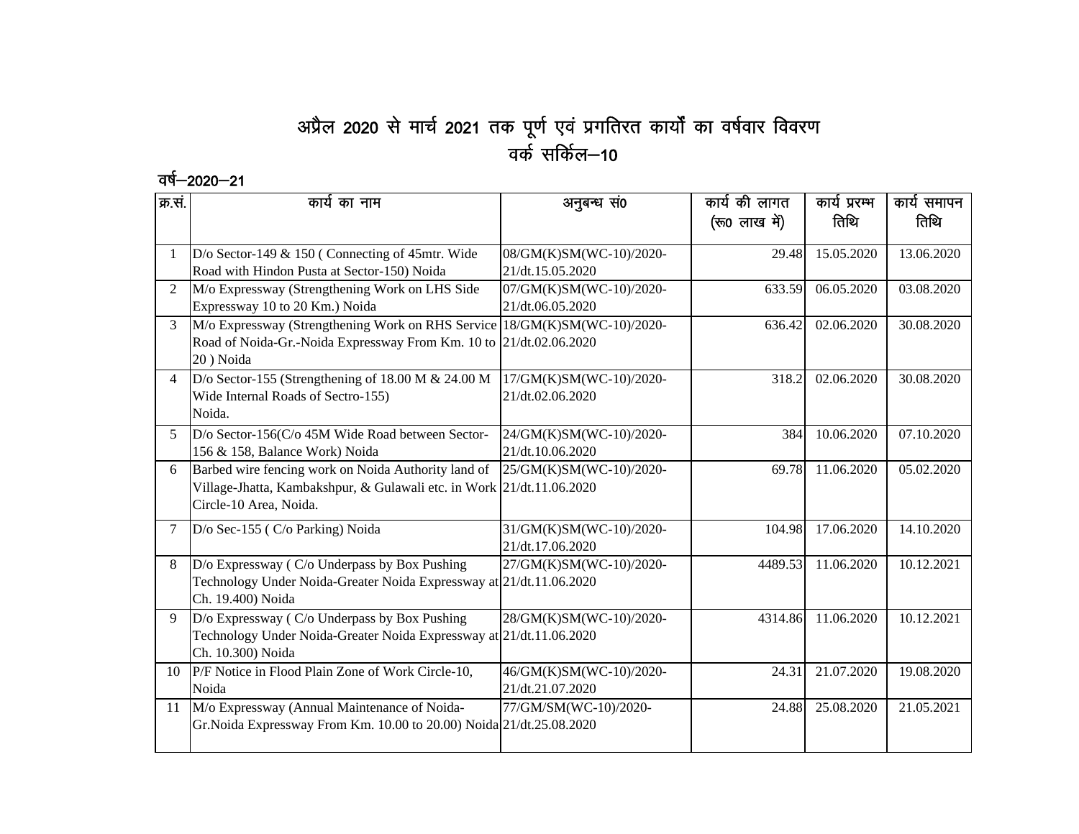## अप्रैल 2020 से मार्च 2021 तक पूर्ण एवं प्रगतिरत कार्यों का वर्षवार विवरण वर्क सकिंल—10

## वर्ष–2020–21

| क्र.सं.        | कार्य का नाम                                                                                                                                                 | अनुबन्ध सं0                                 | कार्य की लागत<br>(रू0 लाख में) | कार्य प्ररम्भ<br>तिथि | कार्य समापन<br>तिथि |
|----------------|--------------------------------------------------------------------------------------------------------------------------------------------------------------|---------------------------------------------|--------------------------------|-----------------------|---------------------|
| $\mathbf{1}$   | D/o Sector-149 $& 150$ (Connecting of 45mtr. Wide<br>Road with Hindon Pusta at Sector-150) Noida                                                             | 08/GM(K)SM(WC-10)/2020-<br>21/dt.15.05.2020 | 29.48                          | 15.05.2020            | 13.06.2020          |
| $\overline{2}$ | M/o Expressway (Strengthening Work on LHS Side<br>Expressway 10 to 20 Km.) Noida                                                                             | 07/GM(K)SM(WC-10)/2020-<br>21/dt.06.05.2020 | 633.59                         | 06.05.2020            | 03.08.2020          |
| 3              | M/o Expressway (Strengthening Work on RHS Service 18/GM(K)SM(WC-10)/2020-<br>Road of Noida-Gr.-Noida Expressway From Km. 10 to 21/dt.02.06.2020<br>20) Noida |                                             | 636.42                         | 02.06.2020            | 30.08.2020          |
| $\overline{4}$ | D/o Sector-155 (Strengthening of 18.00 M $& 24.00 M$<br>Wide Internal Roads of Sectro-155)<br>Noida.                                                         | 17/GM(K)SM(WC-10)/2020-<br>21/dt.02.06.2020 | 318.2                          | 02.06.2020            | 30.08.2020          |
| 5.             | D/o Sector-156(C/o 45M Wide Road between Sector-<br>156 & 158, Balance Work) Noida                                                                           | 24/GM(K)SM(WC-10)/2020-<br>21/dt.10.06.2020 | 384                            | 10.06.2020            | 07.10.2020          |
| 6              | Barbed wire fencing work on Noida Authority land of<br>Village-Jhatta, Kambakshpur, & Gulawali etc. in Work 21/dt.11.06.2020<br>Circle-10 Area, Noida.       | 25/GM(K)SM(WC-10)/2020-                     | 69.78                          | 11.06.2020            | 05.02.2020          |
| 7              | D/o Sec-155 (C/o Parking) Noida                                                                                                                              | 31/GM(K)SM(WC-10)/2020-<br>21/dt.17.06.2020 | 104.98                         | 17.06.2020            | 14.10.2020          |
| 8              | D/o Expressway (C/o Underpass by Box Pushing<br>Technology Under Noida-Greater Noida Expressway at 21/dt.11.06.2020<br>Ch. 19.400) Noida                     | 27/GM(K)SM(WC-10)/2020-                     | 4489.53                        | 11.06.2020            | 10.12.2021          |
| 9              | D/o Expressway (C/o Underpass by Box Pushing<br>Technology Under Noida-Greater Noida Expressway at 21/dt.11.06.2020<br>Ch. 10.300) Noida                     | 28/GM(K)SM(WC-10)/2020-                     | 4314.86                        | 11.06.2020            | 10.12.2021          |
| 10             | P/F Notice in Flood Plain Zone of Work Circle-10,<br>Noida                                                                                                   | 46/GM(K)SM(WC-10)/2020-<br>21/dt.21.07.2020 | 24.31                          | 21.07.2020            | 19.08.2020          |
| 11             | M/o Expressway (Annual Maintenance of Noida-<br>Gr.Noida Expressway From Km. 10.00 to 20.00) Noida 21/dt.25.08.2020                                          | 77/GM/SM(WC-10)/2020-                       | 24.88                          | 25.08.2020            | 21.05.2021          |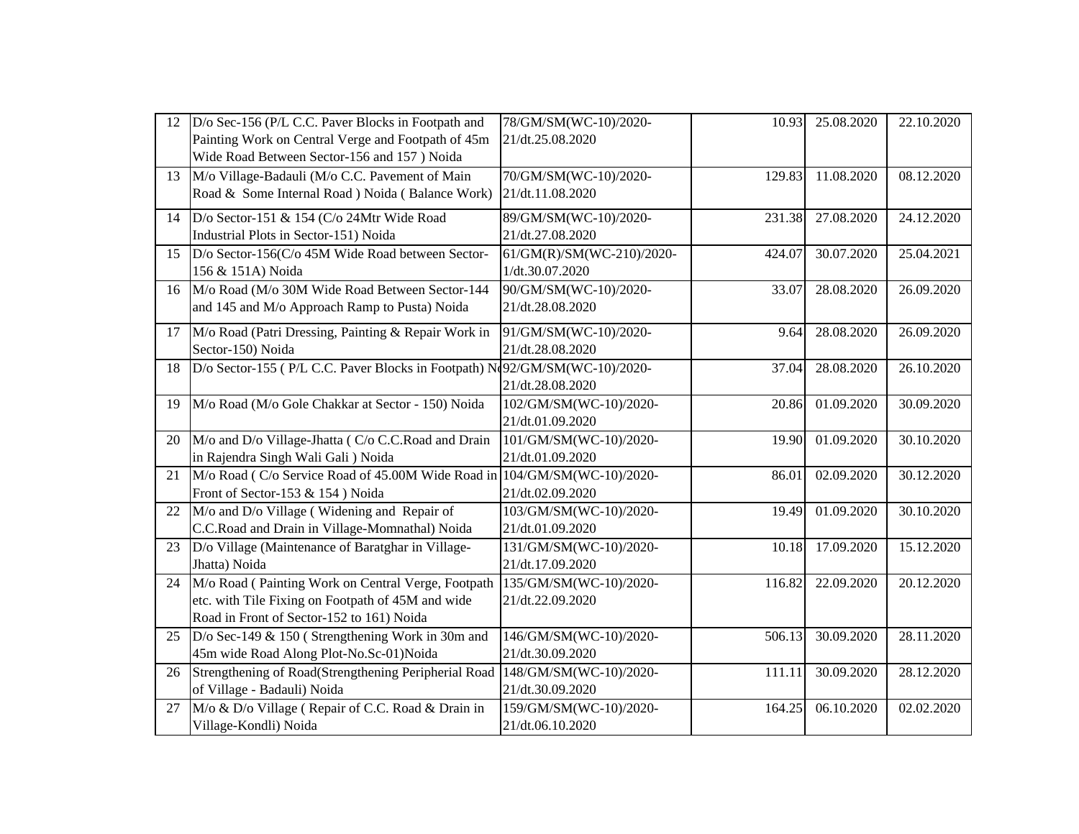| 12 | D/o Sec-156 (P/L C.C. Paver Blocks in Footpath and                         | 78/GM/SM(WC-10)/2020-     | 10.93  | 25.08.2020 | 22.10.2020 |
|----|----------------------------------------------------------------------------|---------------------------|--------|------------|------------|
|    | Painting Work on Central Verge and Footpath of 45m                         | 21/dt.25.08.2020          |        |            |            |
|    | Wide Road Between Sector-156 and 157 ) Noida                               |                           |        |            |            |
| 13 | M/o Village-Badauli (M/o C.C. Pavement of Main                             | 70/GM/SM(WC-10)/2020-     | 129.83 | 11.08.2020 | 08.12.2020 |
|    | Road & Some Internal Road ) Noida (Balance Work)                           | 21/dt.11.08.2020          |        |            |            |
| 14 | D/o Sector-151 & 154 (C/o 24Mtr Wide Road                                  | 89/GM/SM(WC-10)/2020-     | 231.38 | 27.08.2020 | 24.12.2020 |
|    | Industrial Plots in Sector-151) Noida                                      | 21/dt.27.08.2020          |        |            |            |
| 15 | D/o Sector-156(C/o 45M Wide Road between Sector-                           | 61/GM(R)/SM(WC-210)/2020- | 424.07 | 30.07.2020 | 25.04.2021 |
|    | 156 & 151A) Noida                                                          | 1/dt.30.07.2020           |        |            |            |
| 16 | M/o Road (M/o 30M Wide Road Between Sector-144                             | 90/GM/SM(WC-10)/2020-     | 33.07  | 28.08.2020 | 26.09.2020 |
|    | and 145 and M/o Approach Ramp to Pusta) Noida                              | 21/dt.28.08.2020          |        |            |            |
| 17 | M/o Road (Patri Dressing, Painting & Repair Work in                        | 91/GM/SM(WC-10)/2020-     | 9.64   | 28.08.2020 | 26.09.2020 |
|    | Sector-150) Noida                                                          | 21/dt.28.08.2020          |        |            |            |
| 18 | D/o Sector-155 (P/L C.C. Paver Blocks in Footpath) No92/GM/SM(WC-10)/2020- |                           | 37.04  | 28.08.2020 | 26.10.2020 |
|    |                                                                            | 21/dt.28.08.2020          |        |            |            |
| 19 | M/o Road (M/o Gole Chakkar at Sector - 150) Noida                          | 102/GM/SM(WC-10)/2020-    | 20.86  | 01.09.2020 | 30.09.2020 |
|    |                                                                            | 21/dt.01.09.2020          |        |            |            |
| 20 | M/o and D/o Village-Jhatta (C/o C.C.Road and Drain                         | 101/GM/SM(WC-10)/2020-    | 19.90  | 01.09.2020 | 30.10.2020 |
|    | in Rajendra Singh Wali Gali ) Noida                                        | 21/dt.01.09.2020          |        |            |            |
| 21 | M/o Road (C/o Service Road of 45.00M Wide Road in 104/GM/SM(WC-10)/2020-   |                           | 86.01  | 02.09.2020 | 30.12.2020 |
|    | Front of Sector-153 & 154) Noida                                           | 21/dt.02.09.2020          |        |            |            |
| 22 | M/o and D/o Village (Widening and Repair of                                | 103/GM/SM(WC-10)/2020-    | 19.49  | 01.09.2020 | 30.10.2020 |
|    | C.C.Road and Drain in Village-Momnathal) Noida                             | 21/dt.01.09.2020          |        |            |            |
| 23 | D/o Village (Maintenance of Baratghar in Village-                          | 131/GM/SM(WC-10)/2020-    | 10.18  | 17.09.2020 | 15.12.2020 |
|    | Jhatta) Noida                                                              | 21/dt.17.09.2020          |        |            |            |
| 24 | M/o Road (Painting Work on Central Verge, Footpath                         | 135/GM/SM(WC-10)/2020-    | 116.82 | 22.09.2020 | 20.12.2020 |
|    | etc. with Tile Fixing on Footpath of 45M and wide                          | 21/dt.22.09.2020          |        |            |            |
|    | Road in Front of Sector-152 to 161) Noida                                  |                           |        |            |            |
| 25 | D/o Sec-149 & 150 (Strengthening Work in 30m and                           | 146/GM/SM(WC-10)/2020-    | 506.13 | 30.09.2020 | 28.11.2020 |
|    | 45m wide Road Along Plot-No.Sc-01)Noida                                    | 21/dt.30.09.2020          |        |            |            |
| 26 | Strengthening of Road(Strengthening Peripherial Road                       | 148/GM/SM(WC-10)/2020-    | 111.11 | 30.09.2020 | 28.12.2020 |
|    | of Village - Badauli) Noida                                                | 21/dt.30.09.2020          |        |            |            |
| 27 | M/o & D/o Village (Repair of C.C. Road & Drain in                          | 159/GM/SM(WC-10)/2020-    | 164.25 | 06.10.2020 | 02.02.2020 |
|    | Village-Kondli) Noida                                                      | 21/dt.06.10.2020          |        |            |            |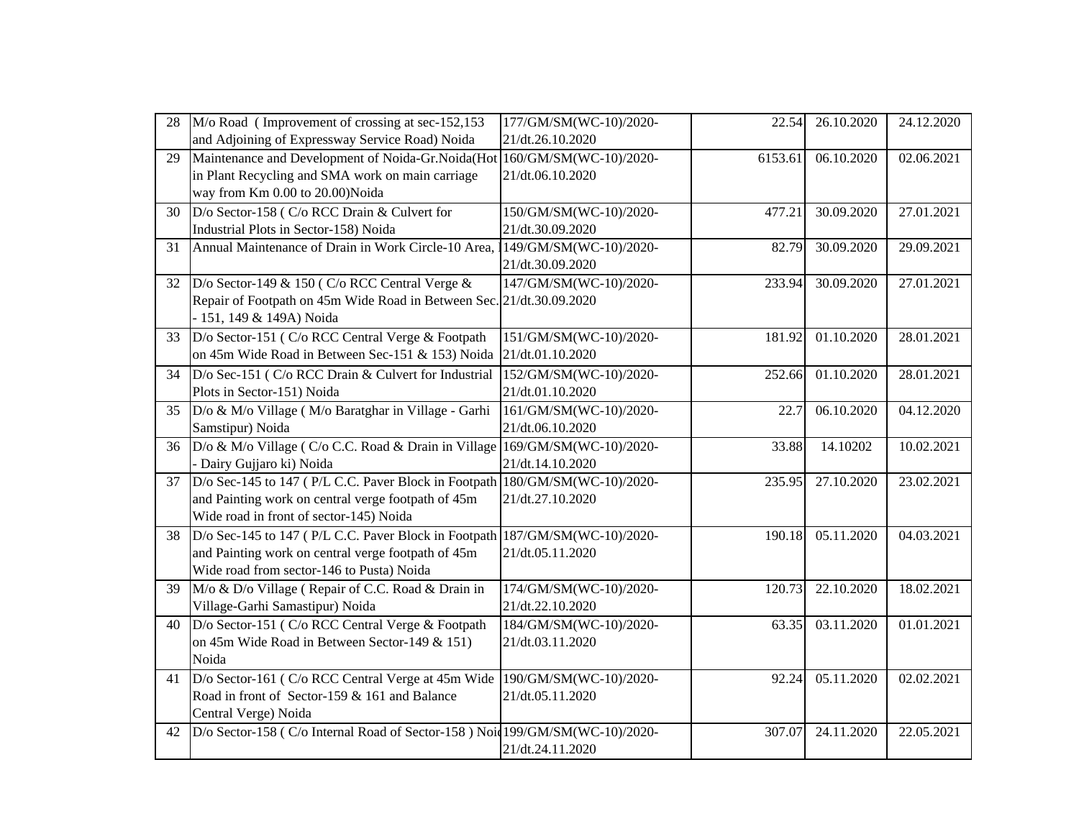| 28 | M/o Road (Improvement of crossing at sec-152,153)                            | 177/GM/SM(WC-10)/2020- | 22.54   | 26.10.2020               | 24.12.2020 |
|----|------------------------------------------------------------------------------|------------------------|---------|--------------------------|------------|
|    | and Adjoining of Expressway Service Road) Noida                              | 21/dt.26.10.2020       |         |                          |            |
| 29 | Maintenance and Development of Noida-Gr.Noida(Hot                            | 160/GM/SM(WC-10)/2020- | 6153.61 | 06.10.2020               | 02.06.2021 |
|    | in Plant Recycling and SMA work on main carriage                             | 21/dt.06.10.2020       |         |                          |            |
|    | way from Km 0.00 to 20.00)Noida                                              |                        |         |                          |            |
| 30 | D/o Sector-158 (C/o RCC Drain & Culvert for                                  | 150/GM/SM(WC-10)/2020- | 477.21  | 30.09.2020               | 27.01.2021 |
|    | Industrial Plots in Sector-158) Noida                                        | 21/dt.30.09.2020       |         |                          |            |
| 31 | Annual Maintenance of Drain in Work Circle-10 Area,                          | 149/GM/SM(WC-10)/2020- | 82.79   | 30.09.2020               | 29.09.2021 |
|    |                                                                              | 21/dt.30.09.2020       |         |                          |            |
| 32 | D/o Sector-149 & 150 (C/o RCC Central Verge $\&$                             | 147/GM/SM(WC-10)/2020- | 233.94  | 30.09.2020               | 27.01.2021 |
|    | Repair of Footpath on 45m Wide Road in Between Sec. 21/dt.30.09.2020         |                        |         |                          |            |
|    | - 151, 149 & 149A) Noida                                                     |                        |         |                          |            |
| 33 | D/o Sector-151 (C/o RCC Central Verge & Footpath                             | 151/GM/SM(WC-10)/2020- | 181.92  | 01.10.2020               | 28.01.2021 |
|    | on 45m Wide Road in Between Sec-151 & 153) Noida                             | 21/dt.01.10.2020       |         |                          |            |
| 34 | D/o Sec-151 (C/o RCC Drain & Culvert for Industrial                          | 152/GM/SM(WC-10)/2020- | 252.66  | 01.10.2020               | 28.01.2021 |
|    | Plots in Sector-151) Noida                                                   | 21/dt.01.10.2020       |         |                          |            |
| 35 | D/o & M/o Village (M/o Baratghar in Village - Garhi                          | 161/GM/SM(WC-10)/2020- | 22.7    | 06.10.2020               | 04.12.2020 |
|    | Samstipur) Noida                                                             | 21/dt.06.10.2020       |         |                          |            |
| 36 | D/o & M/o Village (C/o C.C. Road & Drain in Village 169/GM/SM(WC-10)/2020-   |                        | 33.88   | 14.10202                 | 10.02.2021 |
|    | - Dairy Gujjaro ki) Noida                                                    | 21/dt.14.10.2020       |         |                          |            |
| 37 | D/o Sec-145 to 147 (P/L C.C. Paver Block in Footpath 180/GM/SM(WC-10)/2020-  |                        | 235.95  | 27.10.2020               | 23.02.2021 |
|    | and Painting work on central verge footpath of 45m                           | 21/dt.27.10.2020       |         |                          |            |
|    | Wide road in front of sector-145) Noida                                      |                        |         |                          |            |
| 38 | D/o Sec-145 to 147 (P/L C.C. Paver Block in Footpath 187/GM/SM(WC-10)/2020-  |                        | 190.18  | 05.11.2020               | 04.03.2021 |
|    | and Painting work on central verge footpath of 45m                           | 21/dt.05.11.2020       |         |                          |            |
|    | Wide road from sector-146 to Pusta) Noida                                    |                        |         |                          |            |
| 39 | M/o & D/o Village (Repair of C.C. Road & Drain in                            | 174/GM/SM(WC-10)/2020- | 120.73  | 22.10.2020               | 18.02.2021 |
|    | Village-Garhi Samastipur) Noida                                              | 21/dt.22.10.2020       |         |                          |            |
| 40 | D/o Sector-151 (C/o RCC Central Verge & Footpath                             | 184/GM/SM(WC-10)/2020- | 63.35   | 03.11.2020               | 01.01.2021 |
|    | on 45m Wide Road in Between Sector-149 & 151)                                | 21/dt.03.11.2020       |         |                          |            |
|    | Noida                                                                        |                        |         |                          |            |
| 41 | D/o Sector-161 (C/o RCC Central Verge at 45m Wide                            | 190/GM/SM(WC-10)/2020- | 92.24   | $\overline{0}$ 5.11.2020 | 02.02.2021 |
|    | Road in front of Sector-159 & 161 and Balance                                | 21/dt.05.11.2020       |         |                          |            |
|    | Central Verge) Noida                                                         |                        |         |                          |            |
| 42 | D/o Sector-158 (C/o Internal Road of Sector-158) Noid 199/GM/SM(WC-10)/2020- |                        | 307.07  | 24.11.2020               | 22.05.2021 |
|    |                                                                              | 21/dt.24.11.2020       |         |                          |            |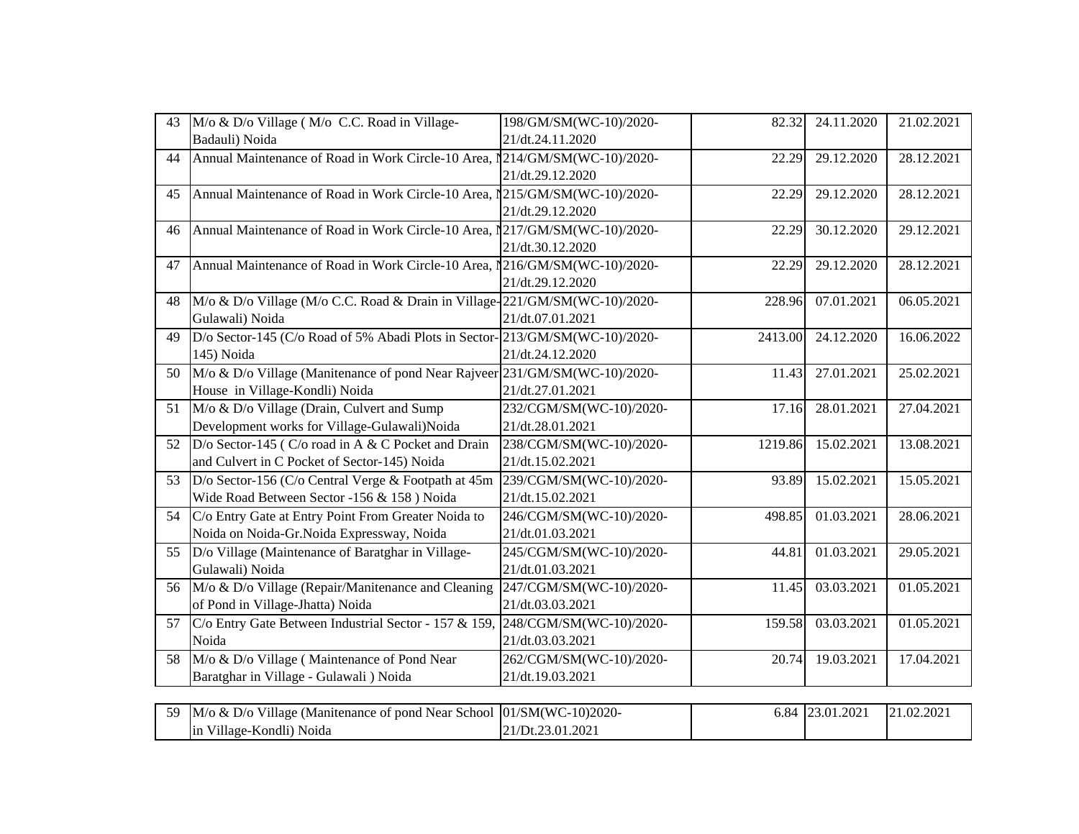| 43 | M/o & D/o Village (M/o C.C. Road in Village-                                | 198/GM/SM(WC-10)/2020-  | 82.32   | 24.11.2020      | 21.02.2021 |  |
|----|-----------------------------------------------------------------------------|-------------------------|---------|-----------------|------------|--|
|    | Badauli) Noida                                                              | 21/dt.24.11.2020        |         |                 |            |  |
| 44 | Annual Maintenance of Road in Work Circle-10 Area, 1214/GM/SM(WC-10)/2020-  |                         | 22.29   | 29.12.2020      | 28.12.2021 |  |
|    |                                                                             | 21/dt.29.12.2020        |         |                 |            |  |
| 45 | Annual Maintenance of Road in Work Circle-10 Area, 1215/GM/SM(WC-10)/2020-  |                         | 22.29   | 29.12.2020      | 28.12.2021 |  |
|    |                                                                             | 21/dt.29.12.2020        |         |                 |            |  |
| 46 | Annual Maintenance of Road in Work Circle-10 Area,                          | 1217/GM/SM(WC-10)/2020- | 22.29   | 30.12.2020      | 29.12.2021 |  |
|    |                                                                             | 21/dt.30.12.2020        |         |                 |            |  |
| 47 | Annual Maintenance of Road in Work Circle-10 Area,                          | 1216/GM/SM(WC-10)/2020- | 22.29   | 29.12.2020      | 28.12.2021 |  |
|    |                                                                             | 21/dt.29.12.2020        |         |                 |            |  |
| 48 | M/o & D/o Village (M/o C.C. Road & Drain in Village-221/GM/SM(WC-10)/2020-  |                         | 228.96  | 07.01.2021      | 06.05.2021 |  |
|    | Gulawali) Noida                                                             | 21/dt.07.01.2021        |         |                 |            |  |
| 49 | D/o Sector-145 (C/o Road of 5% Abadi Plots in Sector-213/GM/SM(WC-10)/2020- |                         | 2413.00 | 24.12.2020      | 16.06.2022 |  |
|    | 145) Noida                                                                  | 21/dt.24.12.2020        |         |                 |            |  |
| 50 | M/o & D/o Village (Manitenance of pond Near Rajveer 231/GM/SM(WC-10)/2020-  |                         | 11.43   | 27.01.2021      | 25.02.2021 |  |
|    | House in Village-Kondli) Noida                                              | 21/dt.27.01.2021        |         |                 |            |  |
| 51 | M/o & D/o Village (Drain, Culvert and Sump)                                 | 232/CGM/SM(WC-10)/2020- | 17.16   | 28.01.2021      | 27.04.2021 |  |
|    | Development works for Village-Gulawali)Noida                                | 21/dt.28.01.2021        |         |                 |            |  |
| 52 | D/o Sector-145 (C/o road in A & C Pocket and Drain                          | 238/CGM/SM(WC-10)/2020- | 1219.86 | 15.02.2021      | 13.08.2021 |  |
|    | and Culvert in C Pocket of Sector-145) Noida                                | 21/dt.15.02.2021        |         |                 |            |  |
| 53 | D/o Sector-156 (C/o Central Verge & Footpath at 45m                         | 239/CGM/SM(WC-10)/2020- | 93.89   | 15.02.2021      | 15.05.2021 |  |
|    | Wide Road Between Sector -156 & 158) Noida                                  | 21/dt.15.02.2021        |         |                 |            |  |
| 54 | C/o Entry Gate at Entry Point From Greater Noida to                         | 246/CGM/SM(WC-10)/2020- | 498.85  | 01.03.2021      | 28.06.2021 |  |
|    | Noida on Noida-Gr.Noida Expressway, Noida                                   | 21/dt.01.03.2021        |         |                 |            |  |
| 55 | D/o Village (Maintenance of Baratghar in Village-                           | 245/CGM/SM(WC-10)/2020- | 44.81   | 01.03.2021      | 29.05.2021 |  |
|    | Gulawali) Noida                                                             | 21/dt.01.03.2021        |         |                 |            |  |
| 56 | M/o & D/o Village (Repair/Manitenance and Cleaning                          | 247/CGM/SM(WC-10)/2020- | 11.45   | 03.03.2021      | 01.05.2021 |  |
|    | of Pond in Village-Jhatta) Noida                                            | 21/dt.03.03.2021        |         |                 |            |  |
| 57 | C/o Entry Gate Between Industrial Sector - 157 & 159,                       | 248/CGM/SM(WC-10)/2020- | 159.58  | 03.03.2021      | 01.05.2021 |  |
|    | Noida                                                                       | 21/dt.03.03.2021        |         |                 |            |  |
| 58 | M/o & D/o Village (Maintenance of Pond Near                                 | 262/CGM/SM(WC-10)/2020- | 20.74   | 19.03.2021      | 17.04.2021 |  |
|    | Baratghar in Village - Gulawali ) Noida                                     | 21/dt.19.03.2021        |         |                 |            |  |
|    |                                                                             |                         |         |                 |            |  |
| 59 | M/o & D/o Village (Manitenance of pond Near School                          | 01/SM(WC-10)2020-       |         | 6.84 23.01.2021 | 21.02.2021 |  |
|    | in Village-Kondli) Noida                                                    | 21/Dt.23.01.2021        |         |                 |            |  |